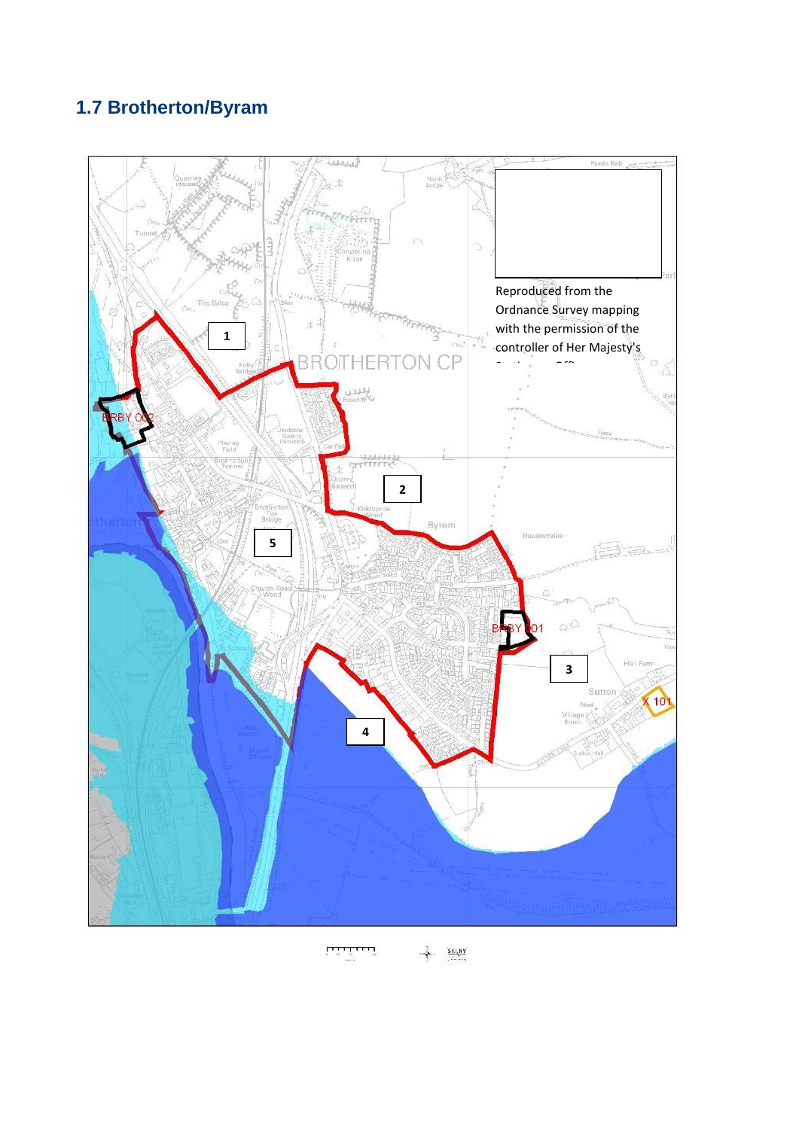## **1.7 Brotherton/Byram**



 $rac{\mathbf{SE} \cup \mathbf{RY}}{1200}$  $\overline{1}$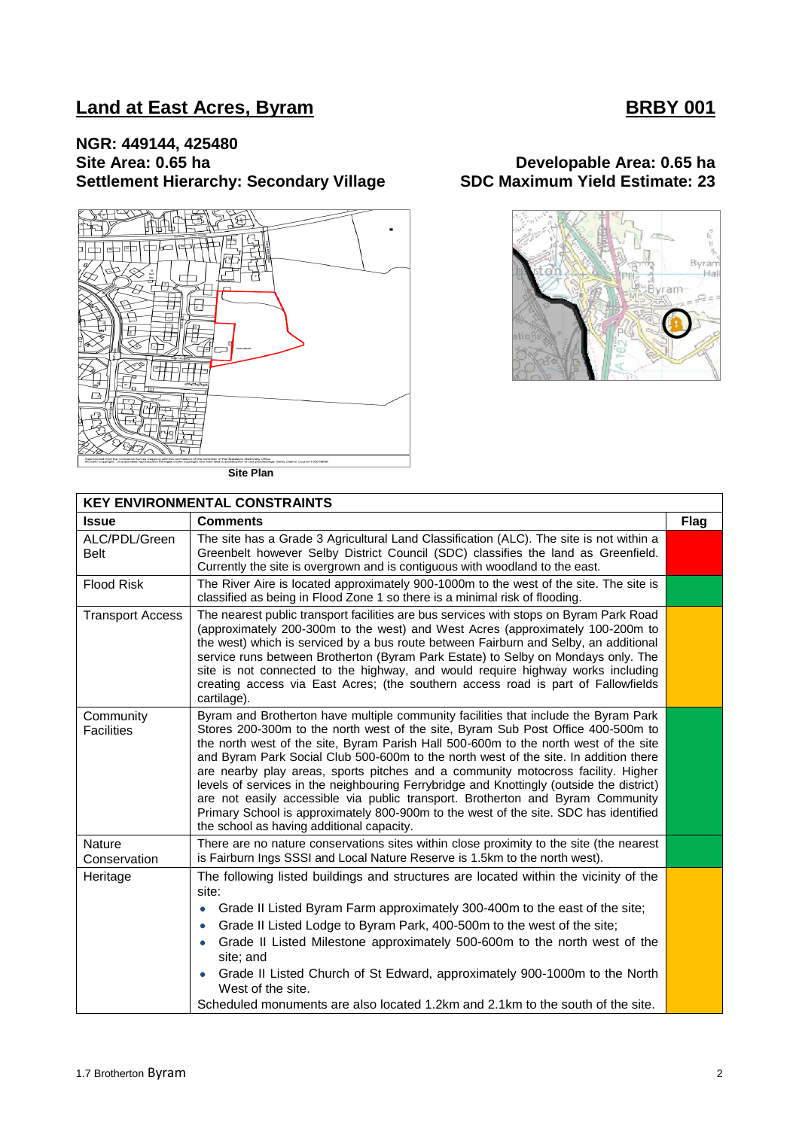## **Land at East Acres, Byram BRBY 001**

# **NGR: 449144, 425480 Settlement Hierarchy: Secondary Village**



**Site Plan**

# **Site Area: 0.65 ha SDC Maximum Yield Estimate: 23**



| <b>KEY ENVIRONMENTAL CONSTRAINTS</b> |                                                                                                                                                                                                                                                                                                                                                                                                                                                                                                                                                                                                                                                                                                                                                                |             |  |  |
|--------------------------------------|----------------------------------------------------------------------------------------------------------------------------------------------------------------------------------------------------------------------------------------------------------------------------------------------------------------------------------------------------------------------------------------------------------------------------------------------------------------------------------------------------------------------------------------------------------------------------------------------------------------------------------------------------------------------------------------------------------------------------------------------------------------|-------------|--|--|
| <b>Issue</b>                         | <b>Comments</b>                                                                                                                                                                                                                                                                                                                                                                                                                                                                                                                                                                                                                                                                                                                                                | <b>Flag</b> |  |  |
| ALC/PDL/Green<br>Belt                | The site has a Grade 3 Agricultural Land Classification (ALC). The site is not within a<br>Greenbelt however Selby District Council (SDC) classifies the land as Greenfield.<br>Currently the site is overgrown and is contiguous with woodland to the east.                                                                                                                                                                                                                                                                                                                                                                                                                                                                                                   |             |  |  |
| <b>Flood Risk</b>                    | The River Aire is located approximately 900-1000m to the west of the site. The site is<br>classified as being in Flood Zone 1 so there is a minimal risk of flooding.                                                                                                                                                                                                                                                                                                                                                                                                                                                                                                                                                                                          |             |  |  |
| <b>Transport Access</b>              | The nearest public transport facilities are bus services with stops on Byram Park Road<br>(approximately 200-300m to the west) and West Acres (approximately 100-200m to<br>the west) which is serviced by a bus route between Fairburn and Selby, an additional<br>service runs between Brotherton (Byram Park Estate) to Selby on Mondays only. The<br>site is not connected to the highway, and would require highway works including<br>creating access via East Acres; (the southern access road is part of Fallowfields<br>cartilage).                                                                                                                                                                                                                   |             |  |  |
| Community<br><b>Facilities</b>       | Byram and Brotherton have multiple community facilities that include the Byram Park<br>Stores 200-300m to the north west of the site, Byram Sub Post Office 400-500m to<br>the north west of the site, Byram Parish Hall 500-600m to the north west of the site<br>and Byram Park Social Club 500-600m to the north west of the site. In addition there<br>are nearby play areas, sports pitches and a community motocross facility. Higher<br>levels of services in the neighbouring Ferrybridge and Knottingly (outside the district)<br>are not easily accessible via public transport. Brotherton and Byram Community<br>Primary School is approximately 800-900m to the west of the site. SDC has identified<br>the school as having additional capacity. |             |  |  |
| <b>Nature</b><br>Conservation        | There are no nature conservations sites within close proximity to the site (the nearest<br>is Fairburn Ings SSSI and Local Nature Reserve is 1.5km to the north west).                                                                                                                                                                                                                                                                                                                                                                                                                                                                                                                                                                                         |             |  |  |
| Heritage                             | The following listed buildings and structures are located within the vicinity of the<br>site:<br>Grade II Listed Byram Farm approximately 300-400m to the east of the site;<br>Grade II Listed Lodge to Byram Park, 400-500m to the west of the site;<br>$\bullet$<br>Grade II Listed Milestone approximately 500-600m to the north west of the<br>site; and<br>Grade II Listed Church of St Edward, approximately 900-1000m to the North<br>West of the site.<br>Scheduled monuments are also located 1.2km and 2.1km to the south of the site.                                                                                                                                                                                                               |             |  |  |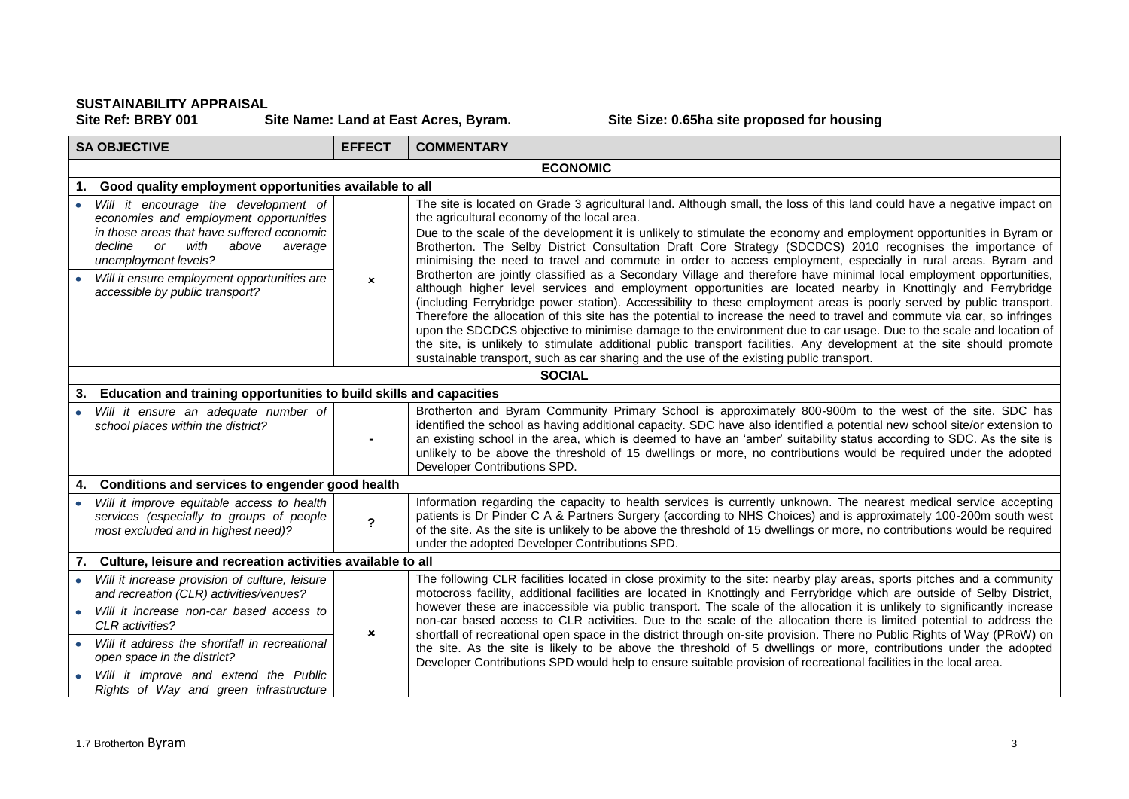SUSTAINABILITY APPRAISAL<br>Site Ref: BRBY 001 Site Name: Land at East Acres, Byram.

**Site Size: 0.65ha site proposed for housing** 

| <b>SA OBJECTIVE</b> |                                                                                                                                                                                                   | <b>EFFECT</b>             | <b>COMMENTARY</b>                                                                                                                                                                                                                                                                                                                                                                                                                                                                                                                                                                                                                                                                                           |  |
|---------------------|---------------------------------------------------------------------------------------------------------------------------------------------------------------------------------------------------|---------------------------|-------------------------------------------------------------------------------------------------------------------------------------------------------------------------------------------------------------------------------------------------------------------------------------------------------------------------------------------------------------------------------------------------------------------------------------------------------------------------------------------------------------------------------------------------------------------------------------------------------------------------------------------------------------------------------------------------------------|--|
|                     | <b>ECONOMIC</b>                                                                                                                                                                                   |                           |                                                                                                                                                                                                                                                                                                                                                                                                                                                                                                                                                                                                                                                                                                             |  |
|                     | Good quality employment opportunities available to all<br>1.                                                                                                                                      |                           |                                                                                                                                                                                                                                                                                                                                                                                                                                                                                                                                                                                                                                                                                                             |  |
|                     | Will it encourage the development of<br>economies and employment opportunities<br>in those areas that have suffered economic<br>decline<br>with<br>above<br>or<br>average<br>unemployment levels? |                           | The site is located on Grade 3 agricultural land. Although small, the loss of this land could have a negative impact on<br>the agricultural economy of the local area.<br>Due to the scale of the development it is unlikely to stimulate the economy and employment opportunities in Byram or<br>Brotherton. The Selby District Consultation Draft Core Strategy (SDCDCS) 2010 recognises the importance of<br>minimising the need to travel and commute in order to access employment, especially in rural areas. Byram and<br>Brotherton are jointly classified as a Secondary Village and therefore have minimal local employment opportunities,                                                        |  |
|                     | Will it ensure employment opportunities are<br>accessible by public transport?                                                                                                                    | $\mathbf x$               | although higher level services and employment opportunities are located nearby in Knottingly and Ferrybridge<br>(including Ferrybridge power station). Accessibility to these employment areas is poorly served by public transport.<br>Therefore the allocation of this site has the potential to increase the need to travel and commute via car, so infringes<br>upon the SDCDCS objective to minimise damage to the environment due to car usage. Due to the scale and location of<br>the site, is unlikely to stimulate additional public transport facilities. Any development at the site should promote<br>sustainable transport, such as car sharing and the use of the existing public transport. |  |
|                     | <b>SOCIAL</b>                                                                                                                                                                                     |                           |                                                                                                                                                                                                                                                                                                                                                                                                                                                                                                                                                                                                                                                                                                             |  |
| 3.                  | Education and training opportunities to build skills and capacities                                                                                                                               |                           |                                                                                                                                                                                                                                                                                                                                                                                                                                                                                                                                                                                                                                                                                                             |  |
|                     | Will it ensure an adequate number of<br>school places within the district?                                                                                                                        |                           | Brotherton and Byram Community Primary School is approximately 800-900m to the west of the site. SDC has<br>identified the school as having additional capacity. SDC have also identified a potential new school site/or extension to<br>an existing school in the area, which is deemed to have an 'amber' suitability status according to SDC. As the site is<br>unlikely to be above the threshold of 15 dwellings or more, no contributions would be required under the adopted<br>Developer Contributions SPD.                                                                                                                                                                                         |  |
| 4.                  | Conditions and services to engender good health                                                                                                                                                   |                           |                                                                                                                                                                                                                                                                                                                                                                                                                                                                                                                                                                                                                                                                                                             |  |
|                     | Will it improve equitable access to health<br>services (especially to groups of people<br>most excluded and in highest need)?                                                                     | $\mathbf{z}$              | Information regarding the capacity to health services is currently unknown. The nearest medical service accepting<br>patients is Dr Pinder C A & Partners Surgery (according to NHS Choices) and is approximately 100-200m south west<br>of the site. As the site is unlikely to be above the threshold of 15 dwellings or more, no contributions would be required<br>under the adopted Developer Contributions SPD.                                                                                                                                                                                                                                                                                       |  |
|                     | 7. Culture, leisure and recreation activities available to all                                                                                                                                    |                           |                                                                                                                                                                                                                                                                                                                                                                                                                                                                                                                                                                                                                                                                                                             |  |
| $\bullet$           | Will it increase provision of culture, leisure<br>and recreation (CLR) activities/venues?                                                                                                         |                           | The following CLR facilities located in close proximity to the site: nearby play areas, sports pitches and a community<br>motocross facility, additional facilities are located in Knottingly and Ferrybridge which are outside of Selby District,                                                                                                                                                                                                                                                                                                                                                                                                                                                          |  |
|                     | Will it increase non-car based access to<br>CLR activities?                                                                                                                                       | $\boldsymbol{\mathsf{x}}$ | however these are inaccessible via public transport. The scale of the allocation it is unlikely to significantly increase<br>non-car based access to CLR activities. Due to the scale of the allocation there is limited potential to address the<br>shortfall of recreational open space in the district through on-site provision. There no Public Rights of Way (PRoW) on                                                                                                                                                                                                                                                                                                                                |  |
|                     | Will it address the shortfall in recreational<br>open space in the district?                                                                                                                      |                           | the site. As the site is likely to be above the threshold of 5 dwellings or more, contributions under the adopted<br>Developer Contributions SPD would help to ensure suitable provision of recreational facilities in the local area.                                                                                                                                                                                                                                                                                                                                                                                                                                                                      |  |
|                     | Will it improve and extend the Public<br>Rights of Way and green infrastructure                                                                                                                   |                           |                                                                                                                                                                                                                                                                                                                                                                                                                                                                                                                                                                                                                                                                                                             |  |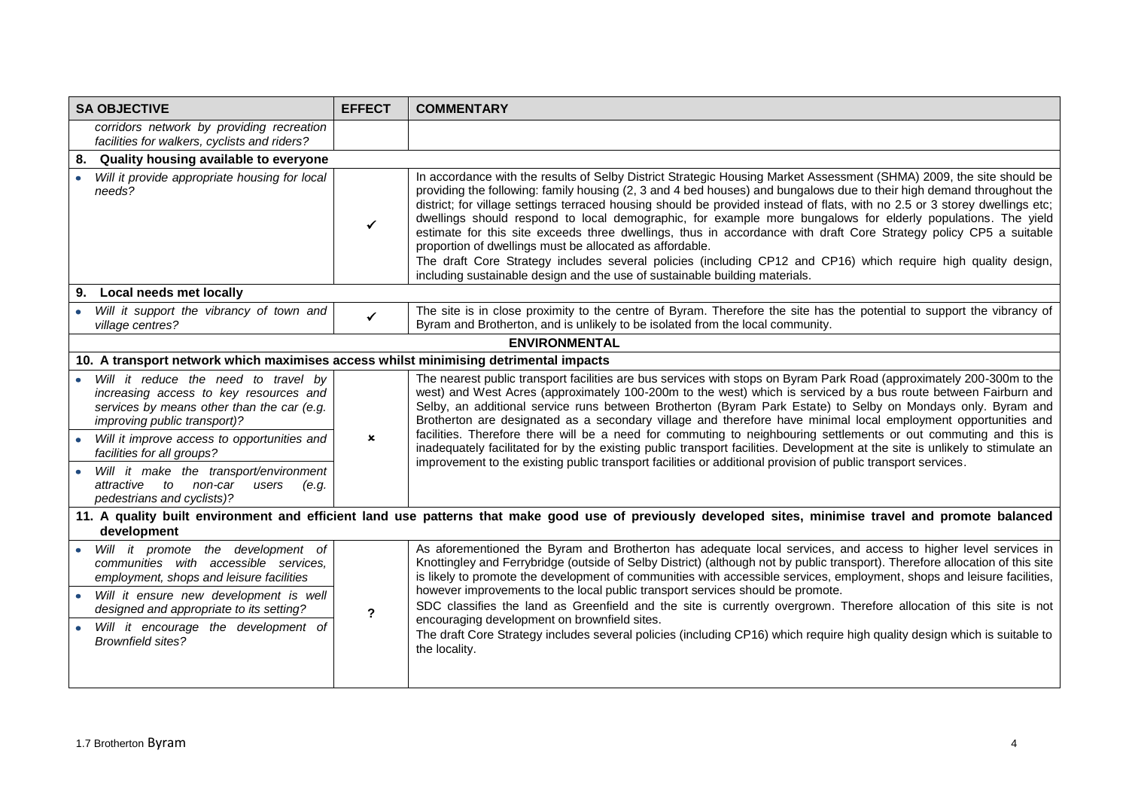| <b>SA OBJECTIVE</b>                                                                                                                                                                                                                       | <b>EFFECT</b>  | <b>COMMENTARY</b>                                                                                                                                                                                                                                                                                                                                                                                                                                                                                                                                                                                                                                                                                                                                                                                                                                                              |  |
|-------------------------------------------------------------------------------------------------------------------------------------------------------------------------------------------------------------------------------------------|----------------|--------------------------------------------------------------------------------------------------------------------------------------------------------------------------------------------------------------------------------------------------------------------------------------------------------------------------------------------------------------------------------------------------------------------------------------------------------------------------------------------------------------------------------------------------------------------------------------------------------------------------------------------------------------------------------------------------------------------------------------------------------------------------------------------------------------------------------------------------------------------------------|--|
| corridors network by providing recreation<br>facilities for walkers, cyclists and riders?                                                                                                                                                 |                |                                                                                                                                                                                                                                                                                                                                                                                                                                                                                                                                                                                                                                                                                                                                                                                                                                                                                |  |
| Quality housing available to everyone<br>8.                                                                                                                                                                                               |                |                                                                                                                                                                                                                                                                                                                                                                                                                                                                                                                                                                                                                                                                                                                                                                                                                                                                                |  |
| Will it provide appropriate housing for local<br>needs?                                                                                                                                                                                   | ✓              | In accordance with the results of Selby District Strategic Housing Market Assessment (SHMA) 2009, the site should be<br>providing the following: family housing (2, 3 and 4 bed houses) and bungalows due to their high demand throughout the<br>district; for village settings terraced housing should be provided instead of flats, with no 2.5 or 3 storey dwellings etc;<br>dwellings should respond to local demographic, for example more bungalows for elderly populations. The yield<br>estimate for this site exceeds three dwellings, thus in accordance with draft Core Strategy policy CP5 a suitable<br>proportion of dwellings must be allocated as affordable.<br>The draft Core Strategy includes several policies (including CP12 and CP16) which require high quality design,<br>including sustainable design and the use of sustainable building materials. |  |
| Local needs met locally<br>9.                                                                                                                                                                                                             |                |                                                                                                                                                                                                                                                                                                                                                                                                                                                                                                                                                                                                                                                                                                                                                                                                                                                                                |  |
| Will it support the vibrancy of town and<br>village centres?                                                                                                                                                                              | $\checkmark$   | The site is in close proximity to the centre of Byram. Therefore the site has the potential to support the vibrancy of<br>Byram and Brotherton, and is unlikely to be isolated from the local community.                                                                                                                                                                                                                                                                                                                                                                                                                                                                                                                                                                                                                                                                       |  |
|                                                                                                                                                                                                                                           |                | <b>ENVIRONMENTAL</b>                                                                                                                                                                                                                                                                                                                                                                                                                                                                                                                                                                                                                                                                                                                                                                                                                                                           |  |
| 10. A transport network which maximises access whilst minimising detrimental impacts                                                                                                                                                      |                |                                                                                                                                                                                                                                                                                                                                                                                                                                                                                                                                                                                                                                                                                                                                                                                                                                                                                |  |
| Will it reduce the need to travel by<br>increasing access to key resources and<br>services by means other than the car (e.g.<br>improving public transport)?<br>Will it improve access to opportunities and<br>facilities for all groups? | $\mathbf x$    | The nearest public transport facilities are bus services with stops on Byram Park Road (approximately 200-300m to the<br>west) and West Acres (approximately 100-200m to the west) which is serviced by a bus route between Fairburn and<br>Selby, an additional service runs between Brotherton (Byram Park Estate) to Selby on Mondays only. Byram and<br>Brotherton are designated as a secondary village and therefore have minimal local employment opportunities and<br>facilities. Therefore there will be a need for commuting to neighbouring settlements or out commuting and this is<br>inadequately facilitated for by the existing public transport facilities. Development at the site is unlikely to stimulate an<br>improvement to the existing public transport facilities or additional provision of public transport services.                              |  |
| Will it make the transport/environment<br>attractive to non-car<br>users<br>(e.g.<br>pedestrians and cyclists)?                                                                                                                           |                |                                                                                                                                                                                                                                                                                                                                                                                                                                                                                                                                                                                                                                                                                                                                                                                                                                                                                |  |
| 11. A quality built environment and efficient land use patterns that make good use of previously developed sites, minimise travel and promote balanced<br>development                                                                     |                |                                                                                                                                                                                                                                                                                                                                                                                                                                                                                                                                                                                                                                                                                                                                                                                                                                                                                |  |
| Will it promote the development of<br>communities with accessible services,<br>employment, shops and leisure facilities                                                                                                                   |                | As aforementioned the Byram and Brotherton has adequate local services, and access to higher level services in<br>Knottingley and Ferrybridge (outside of Selby District) (although not by public transport). Therefore allocation of this site<br>is likely to promote the development of communities with accessible services, employment, shops and leisure facilities,                                                                                                                                                                                                                                                                                                                                                                                                                                                                                                     |  |
| Will it ensure new development is well<br>designed and appropriate to its setting?                                                                                                                                                        | $\overline{?}$ | however improvements to the local public transport services should be promote.<br>SDC classifies the land as Greenfield and the site is currently overgrown. Therefore allocation of this site is not<br>encouraging development on brownfield sites.                                                                                                                                                                                                                                                                                                                                                                                                                                                                                                                                                                                                                          |  |
| Will it encourage the development of<br><b>Brownfield sites?</b>                                                                                                                                                                          |                | The draft Core Strategy includes several policies (including CP16) which require high quality design which is suitable to<br>the locality.                                                                                                                                                                                                                                                                                                                                                                                                                                                                                                                                                                                                                                                                                                                                     |  |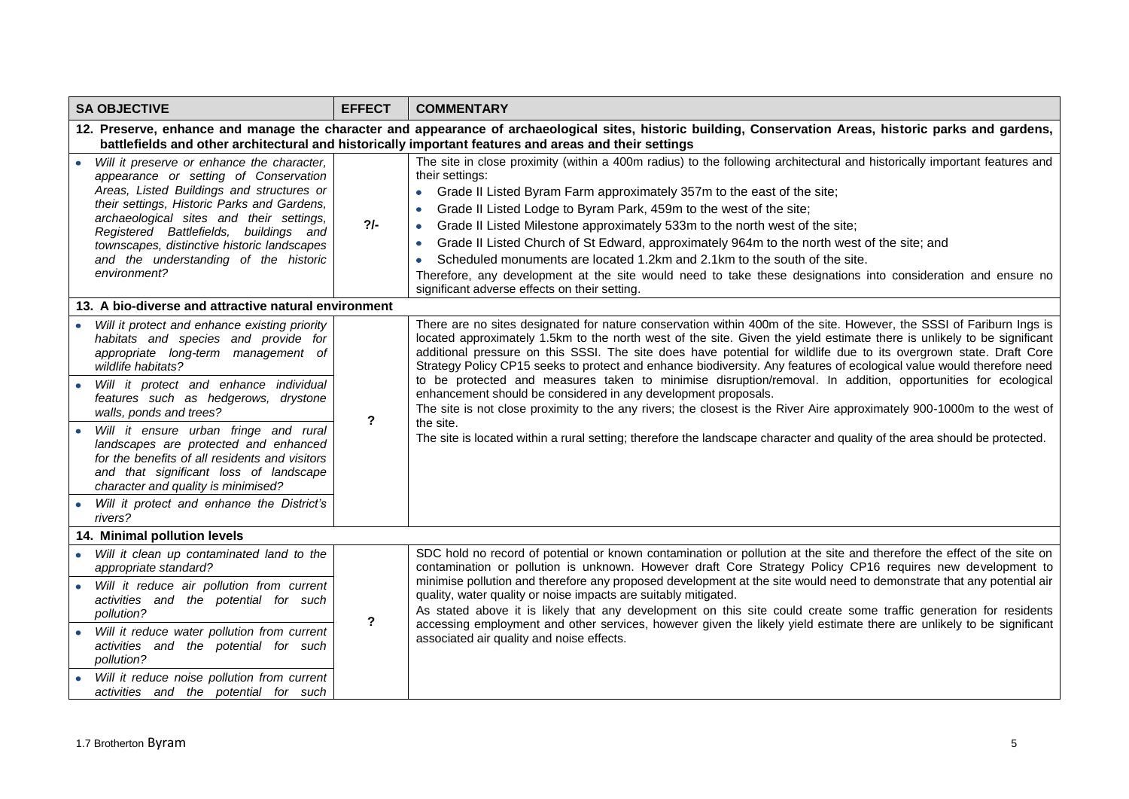| <b>SA OBJECTIVE</b>                                                                                                                                                                                                                                                                                                                                                                                                                                                                                                                               | <b>EFFECT</b>  | <b>COMMENTARY</b>                                                                                                                                                                                                                                                                                                                                                                                                                                                                                                                                                                                                                                                                                                                                                                                                                                                                                                                                      |
|---------------------------------------------------------------------------------------------------------------------------------------------------------------------------------------------------------------------------------------------------------------------------------------------------------------------------------------------------------------------------------------------------------------------------------------------------------------------------------------------------------------------------------------------------|----------------|--------------------------------------------------------------------------------------------------------------------------------------------------------------------------------------------------------------------------------------------------------------------------------------------------------------------------------------------------------------------------------------------------------------------------------------------------------------------------------------------------------------------------------------------------------------------------------------------------------------------------------------------------------------------------------------------------------------------------------------------------------------------------------------------------------------------------------------------------------------------------------------------------------------------------------------------------------|
|                                                                                                                                                                                                                                                                                                                                                                                                                                                                                                                                                   |                | 12. Preserve, enhance and manage the character and appearance of archaeological sites, historic building, Conservation Areas, historic parks and gardens,<br>battlefields and other architectural and historically important features and areas and their settings                                                                                                                                                                                                                                                                                                                                                                                                                                                                                                                                                                                                                                                                                     |
| Will it preserve or enhance the character,<br>appearance or setting of Conservation<br>Areas, Listed Buildings and structures or<br>their settings, Historic Parks and Gardens,<br>archaeological sites and their settings,<br>Registered Battlefields, buildings and<br>townscapes, distinctive historic landscapes<br>and the understanding of the historic<br>environment?                                                                                                                                                                     | $2/-$          | The site in close proximity (within a 400m radius) to the following architectural and historically important features and<br>their settings:<br>Grade II Listed Byram Farm approximately 357m to the east of the site;<br>$\bullet$<br>Grade II Listed Lodge to Byram Park, 459m to the west of the site;<br>$\bullet$<br>Grade II Listed Milestone approximately 533m to the north west of the site;<br>$\bullet$<br>Grade II Listed Church of St Edward, approximately 964m to the north west of the site; and<br>$\bullet$<br>Scheduled monuments are located 1.2km and 2.1km to the south of the site.<br>$\bullet$<br>Therefore, any development at the site would need to take these designations into consideration and ensure no<br>significant adverse effects on their setting.                                                                                                                                                              |
| 13. A bio-diverse and attractive natural environment                                                                                                                                                                                                                                                                                                                                                                                                                                                                                              |                |                                                                                                                                                                                                                                                                                                                                                                                                                                                                                                                                                                                                                                                                                                                                                                                                                                                                                                                                                        |
| • Will it protect and enhance existing priority<br>habitats and species and provide for<br>appropriate long-term management of<br>wildlife habitats?<br>· Will it protect and enhance individual<br>features such as hedgerows, drystone<br>walls, ponds and trees?<br>Will it ensure urban fringe and rural<br>landscapes are protected and enhanced<br>for the benefits of all residents and visitors<br>and that significant loss of landscape<br>character and quality is minimised?<br>Will it protect and enhance the District's<br>rivers? | $\mathbf{?}$   | There are no sites designated for nature conservation within 400m of the site. However, the SSSI of Fariburn Ings is<br>located approximately 1.5km to the north west of the site. Given the yield estimate there is unlikely to be significant<br>additional pressure on this SSSI. The site does have potential for wildlife due to its overgrown state. Draft Core<br>Strategy Policy CP15 seeks to protect and enhance biodiversity. Any features of ecological value would therefore need<br>to be protected and measures taken to minimise disruption/removal. In addition, opportunities for ecological<br>enhancement should be considered in any development proposals.<br>The site is not close proximity to the any rivers; the closest is the River Aire approximately 900-1000m to the west of<br>the site.<br>The site is located within a rural setting; therefore the landscape character and quality of the area should be protected. |
| 14. Minimal pollution levels                                                                                                                                                                                                                                                                                                                                                                                                                                                                                                                      |                |                                                                                                                                                                                                                                                                                                                                                                                                                                                                                                                                                                                                                                                                                                                                                                                                                                                                                                                                                        |
| Will it clean up contaminated land to the<br>$\bullet$<br>appropriate standard?<br>• Will it reduce air pollution from current<br>activities and the potential for such<br>pollution?<br>Will it reduce water pollution from current<br>activities and the potential for such<br>pollution?<br>• Will it reduce noise pollution from current<br>activities and the potential for such                                                                                                                                                             | $\overline{?}$ | SDC hold no record of potential or known contamination or pollution at the site and therefore the effect of the site on<br>contamination or pollution is unknown. However draft Core Strategy Policy CP16 requires new development to<br>minimise pollution and therefore any proposed development at the site would need to demonstrate that any potential air<br>quality, water quality or noise impacts are suitably mitigated.<br>As stated above it is likely that any development on this site could create some traffic generation for residents<br>accessing employment and other services, however given the likely yield estimate there are unlikely to be significant<br>associated air quality and noise effects.                                                                                                                                                                                                                          |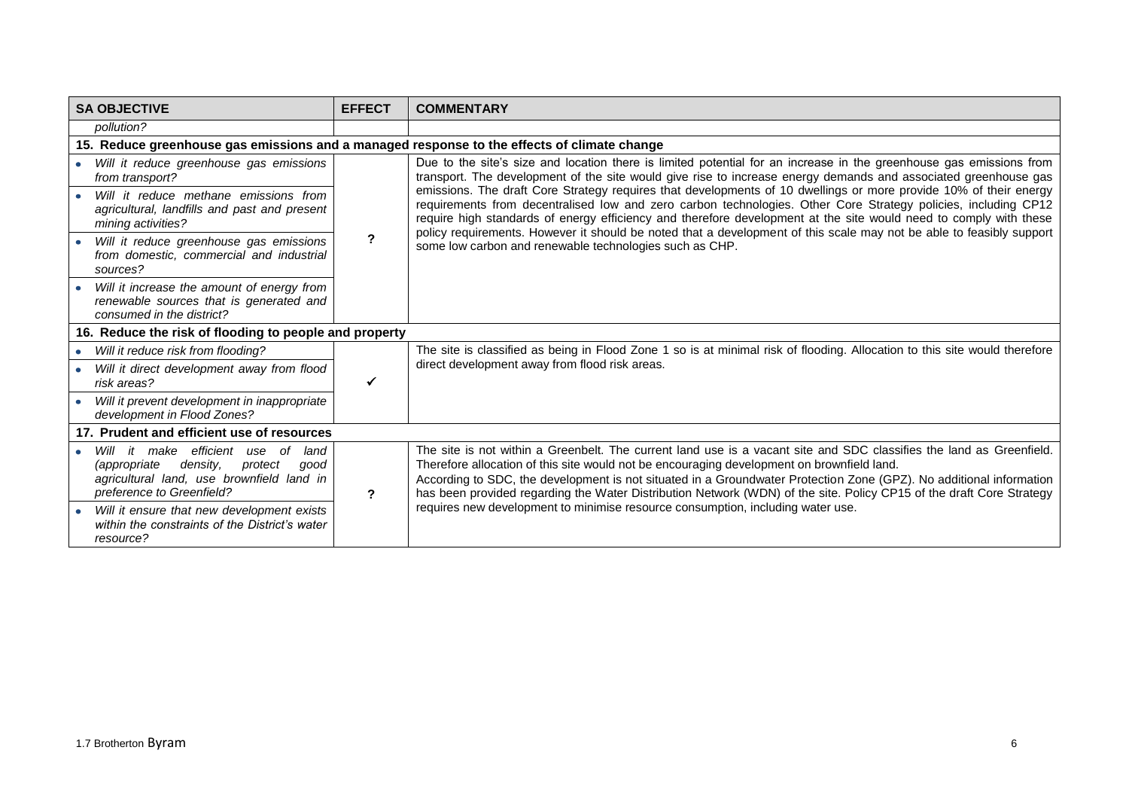| <b>SA OBJECTIVE</b>                                                                                                                                                                                                         | <b>EFFECT</b> | <b>COMMENTARY</b>                                                                                                                                                                                                                                                                                                                                                                                                                                                                                                                                                                                                                                                                                                                                                                     |  |
|-----------------------------------------------------------------------------------------------------------------------------------------------------------------------------------------------------------------------------|---------------|---------------------------------------------------------------------------------------------------------------------------------------------------------------------------------------------------------------------------------------------------------------------------------------------------------------------------------------------------------------------------------------------------------------------------------------------------------------------------------------------------------------------------------------------------------------------------------------------------------------------------------------------------------------------------------------------------------------------------------------------------------------------------------------|--|
| pollution?                                                                                                                                                                                                                  |               |                                                                                                                                                                                                                                                                                                                                                                                                                                                                                                                                                                                                                                                                                                                                                                                       |  |
| 15. Reduce greenhouse gas emissions and a managed response to the effects of climate change                                                                                                                                 |               |                                                                                                                                                                                                                                                                                                                                                                                                                                                                                                                                                                                                                                                                                                                                                                                       |  |
| Will it reduce greenhouse gas emissions<br>from transport?                                                                                                                                                                  | ?             | Due to the site's size and location there is limited potential for an increase in the greenhouse gas emissions from<br>transport. The development of the site would give rise to increase energy demands and associated greenhouse gas<br>emissions. The draft Core Strategy requires that developments of 10 dwellings or more provide 10% of their energy<br>requirements from decentralised low and zero carbon technologies. Other Core Strategy policies, including CP12<br>require high standards of energy efficiency and therefore development at the site would need to comply with these<br>policy requirements. However it should be noted that a development of this scale may not be able to feasibly support<br>some low carbon and renewable technologies such as CHP. |  |
| Will it reduce methane emissions from<br>agricultural, landfills and past and present<br>mining activities?                                                                                                                 |               |                                                                                                                                                                                                                                                                                                                                                                                                                                                                                                                                                                                                                                                                                                                                                                                       |  |
| Will it reduce greenhouse gas emissions<br>from domestic, commercial and industrial<br>sources?                                                                                                                             |               |                                                                                                                                                                                                                                                                                                                                                                                                                                                                                                                                                                                                                                                                                                                                                                                       |  |
| Will it increase the amount of energy from<br>renewable sources that is generated and<br>consumed in the district?                                                                                                          |               |                                                                                                                                                                                                                                                                                                                                                                                                                                                                                                                                                                                                                                                                                                                                                                                       |  |
| 16. Reduce the risk of flooding to people and property                                                                                                                                                                      |               |                                                                                                                                                                                                                                                                                                                                                                                                                                                                                                                                                                                                                                                                                                                                                                                       |  |
| Will it reduce risk from flooding?                                                                                                                                                                                          |               | The site is classified as being in Flood Zone 1 so is at minimal risk of flooding. Allocation to this site would therefore<br>direct development away from flood risk areas.                                                                                                                                                                                                                                                                                                                                                                                                                                                                                                                                                                                                          |  |
| Will it direct development away from flood<br>risk areas?                                                                                                                                                                   |               |                                                                                                                                                                                                                                                                                                                                                                                                                                                                                                                                                                                                                                                                                                                                                                                       |  |
| Will it prevent development in inappropriate<br>development in Flood Zones?                                                                                                                                                 |               |                                                                                                                                                                                                                                                                                                                                                                                                                                                                                                                                                                                                                                                                                                                                                                                       |  |
| 17. Prudent and efficient use of resources                                                                                                                                                                                  |               |                                                                                                                                                                                                                                                                                                                                                                                                                                                                                                                                                                                                                                                                                                                                                                                       |  |
| it make efficient use<br>of<br>land<br>Will<br>density,<br><i>(appropriate</i> )<br>protect<br>aood<br>agricultural land, use brownfield land in<br>preference to Greenfield?<br>Will it ensure that new development exists | $\mathbf{r}$  | The site is not within a Greenbelt. The current land use is a vacant site and SDC classifies the land as Greenfield.<br>Therefore allocation of this site would not be encouraging development on brownfield land.<br>According to SDC, the development is not situated in a Groundwater Protection Zone (GPZ). No additional information<br>has been provided regarding the Water Distribution Network (WDN) of the site. Policy CP15 of the draft Core Strategy<br>requires new development to minimise resource consumption, including water use.                                                                                                                                                                                                                                  |  |
| within the constraints of the District's water<br>resource?                                                                                                                                                                 |               |                                                                                                                                                                                                                                                                                                                                                                                                                                                                                                                                                                                                                                                                                                                                                                                       |  |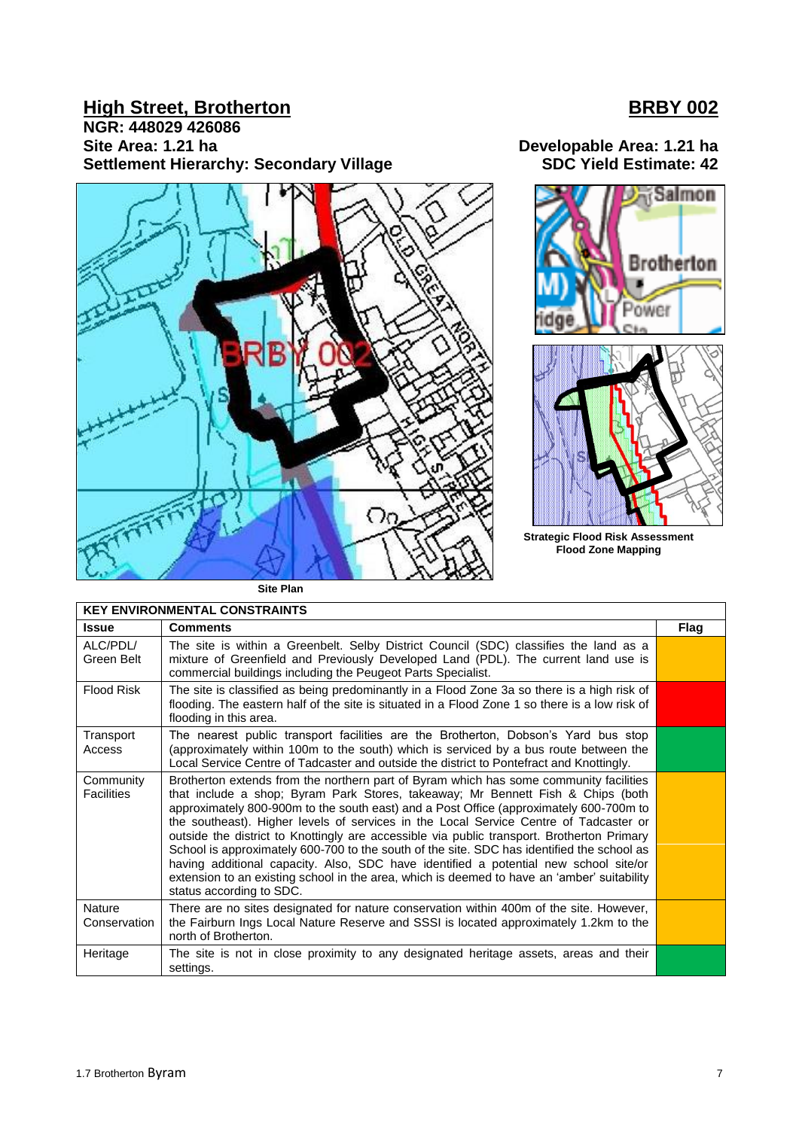## **High Street, Brotherton BRBY 002**

**NGR: 448029 426086** Site Area: 1.21 ha<br> **Settlement Hierarchy: Secondary Village** Manual Surface SDC Yield Estimate: 42 **Settlement Hierarchy: Secondary Village** 





**Strategic Flood Risk Assessment Flood Zone Mapping**

**Site Plan**

| <b>KEY ENVIRONMENTAL CONSTRAINTS</b> |                                                                                                                                                                                                                                                                                                                                                                                                                                                                                                                                                                                                                                                                                                                                                                             |             |  |
|--------------------------------------|-----------------------------------------------------------------------------------------------------------------------------------------------------------------------------------------------------------------------------------------------------------------------------------------------------------------------------------------------------------------------------------------------------------------------------------------------------------------------------------------------------------------------------------------------------------------------------------------------------------------------------------------------------------------------------------------------------------------------------------------------------------------------------|-------------|--|
| <b>Issue</b>                         | <b>Comments</b>                                                                                                                                                                                                                                                                                                                                                                                                                                                                                                                                                                                                                                                                                                                                                             | <b>Flag</b> |  |
| ALC/PDL/<br>Green Belt               | The site is within a Greenbelt. Selby District Council (SDC) classifies the land as a<br>mixture of Greenfield and Previously Developed Land (PDL). The current land use is<br>commercial buildings including the Peugeot Parts Specialist.                                                                                                                                                                                                                                                                                                                                                                                                                                                                                                                                 |             |  |
| <b>Flood Risk</b>                    | The site is classified as being predominantly in a Flood Zone 3a so there is a high risk of<br>flooding. The eastern half of the site is situated in a Flood Zone 1 so there is a low risk of<br>flooding in this area.                                                                                                                                                                                                                                                                                                                                                                                                                                                                                                                                                     |             |  |
| Transport<br>Access                  | The nearest public transport facilities are the Brotherton, Dobson's Yard bus stop<br>(approximately within 100m to the south) which is serviced by a bus route between the<br>Local Service Centre of Tadcaster and outside the district to Pontefract and Knottingly.                                                                                                                                                                                                                                                                                                                                                                                                                                                                                                     |             |  |
| Community<br><b>Facilities</b>       | Brotherton extends from the northern part of Byram which has some community facilities<br>that include a shop; Byram Park Stores, takeaway; Mr Bennett Fish & Chips (both<br>approximately 800-900m to the south east) and a Post Office (approximately 600-700m to<br>the southeast). Higher levels of services in the Local Service Centre of Tadcaster or<br>outside the district to Knottingly are accessible via public transport. Brotherton Primary<br>School is approximately 600-700 to the south of the site. SDC has identified the school as<br>having additional capacity. Also, SDC have identified a potential new school site/or<br>extension to an existing school in the area, which is deemed to have an 'amber' suitability<br>status according to SDC. |             |  |
| Nature<br>Conservation               | There are no sites designated for nature conservation within 400m of the site. However,<br>the Fairburn Ings Local Nature Reserve and SSSI is located approximately 1.2km to the<br>north of Brotherton.                                                                                                                                                                                                                                                                                                                                                                                                                                                                                                                                                                    |             |  |
| Heritage                             | The site is not in close proximity to any designated heritage assets, areas and their<br>settings.                                                                                                                                                                                                                                                                                                                                                                                                                                                                                                                                                                                                                                                                          |             |  |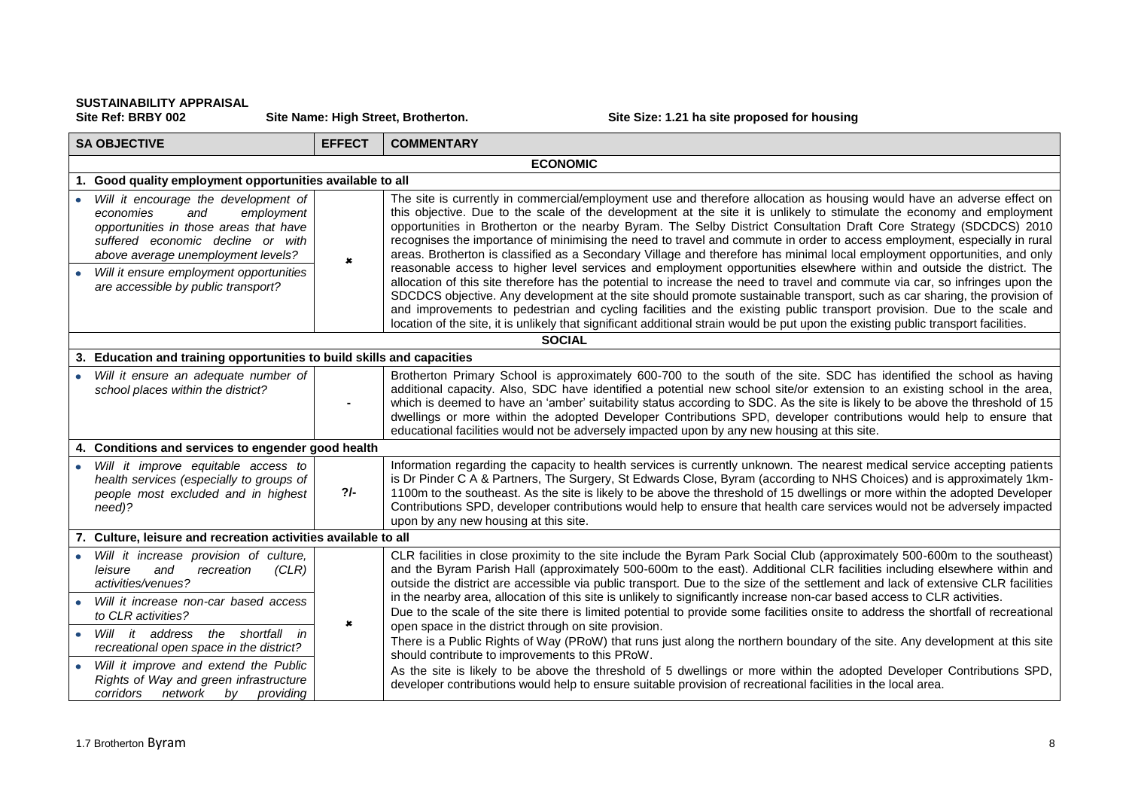# **SUSTAINABILITY APPRAISAL**

Site Name: High Street, Brotherton. **Site Size: 1.21 ha site proposed for housing** 

| <b>SA OBJECTIVE</b>                                                                                                                                                                                                                                                           | <b>EFFECT</b>  | <b>COMMENTARY</b>                                                                                                                                                                                                                                                                                                                                                                                                                                                                                                                                                                                                                                                                                                                                                                                                                                                                           |  |
|-------------------------------------------------------------------------------------------------------------------------------------------------------------------------------------------------------------------------------------------------------------------------------|----------------|---------------------------------------------------------------------------------------------------------------------------------------------------------------------------------------------------------------------------------------------------------------------------------------------------------------------------------------------------------------------------------------------------------------------------------------------------------------------------------------------------------------------------------------------------------------------------------------------------------------------------------------------------------------------------------------------------------------------------------------------------------------------------------------------------------------------------------------------------------------------------------------------|--|
| <b>ECONOMIC</b>                                                                                                                                                                                                                                                               |                |                                                                                                                                                                                                                                                                                                                                                                                                                                                                                                                                                                                                                                                                                                                                                                                                                                                                                             |  |
| Good quality employment opportunities available to all                                                                                                                                                                                                                        |                |                                                                                                                                                                                                                                                                                                                                                                                                                                                                                                                                                                                                                                                                                                                                                                                                                                                                                             |  |
| Will it encourage the development of<br>economies<br>and<br>employment<br>opportunities in those areas that have<br>suffered economic decline or with<br>above average unemployment levels?<br>Will it ensure employment opportunities<br>are accessible by public transport? | $\pmb{\times}$ | The site is currently in commercial/employment use and therefore allocation as housing would have an adverse effect on<br>this objective. Due to the scale of the development at the site it is unlikely to stimulate the economy and employment<br>opportunities in Brotherton or the nearby Byram. The Selby District Consultation Draft Core Strategy (SDCDCS) 2010<br>recognises the importance of minimising the need to travel and commute in order to access employment, especially in rural<br>areas. Brotherton is classified as a Secondary Village and therefore has minimal local employment opportunities, and only<br>reasonable access to higher level services and employment opportunities elsewhere within and outside the district. The<br>allocation of this site therefore has the potential to increase the need to travel and commute via car, so infringes upon the |  |
|                                                                                                                                                                                                                                                                               |                | SDCDCS objective. Any development at the site should promote sustainable transport, such as car sharing, the provision of<br>and improvements to pedestrian and cycling facilities and the existing public transport provision. Due to the scale and<br>location of the site, it is unlikely that significant additional strain would be put upon the existing public transport facilities.                                                                                                                                                                                                                                                                                                                                                                                                                                                                                                 |  |
|                                                                                                                                                                                                                                                                               |                | <b>SOCIAL</b>                                                                                                                                                                                                                                                                                                                                                                                                                                                                                                                                                                                                                                                                                                                                                                                                                                                                               |  |
| 3. Education and training opportunities to build skills and capacities                                                                                                                                                                                                        |                |                                                                                                                                                                                                                                                                                                                                                                                                                                                                                                                                                                                                                                                                                                                                                                                                                                                                                             |  |
| Will it ensure an adequate number of<br>school places within the district?                                                                                                                                                                                                    |                | Brotherton Primary School is approximately 600-700 to the south of the site. SDC has identified the school as having<br>additional capacity. Also, SDC have identified a potential new school site/or extension to an existing school in the area,<br>which is deemed to have an 'amber' suitability status according to SDC. As the site is likely to be above the threshold of 15<br>dwellings or more within the adopted Developer Contributions SPD, developer contributions would help to ensure that<br>educational facilities would not be adversely impacted upon by any new housing at this site.                                                                                                                                                                                                                                                                                  |  |
| 4. Conditions and services to engender good health                                                                                                                                                                                                                            |                |                                                                                                                                                                                                                                                                                                                                                                                                                                                                                                                                                                                                                                                                                                                                                                                                                                                                                             |  |
| Will it improve equitable access to<br>health services (especially to groups of<br>people most excluded and in highest<br>need)?                                                                                                                                              | $2/-$          | Information regarding the capacity to health services is currently unknown. The nearest medical service accepting patients<br>is Dr Pinder C A & Partners, The Surgery, St Edwards Close, Byram (according to NHS Choices) and is approximately 1km-<br>1100m to the southeast. As the site is likely to be above the threshold of 15 dwellings or more within the adopted Developer<br>Contributions SPD, developer contributions would help to ensure that health care services would not be adversely impacted<br>upon by any new housing at this site.                                                                                                                                                                                                                                                                                                                                  |  |
| 7. Culture, leisure and recreation activities available to all                                                                                                                                                                                                                |                |                                                                                                                                                                                                                                                                                                                                                                                                                                                                                                                                                                                                                                                                                                                                                                                                                                                                                             |  |
| Will it increase provision of culture,<br>and<br>leisure<br>recreation<br>(CLR)<br>activities/venues?                                                                                                                                                                         |                | CLR facilities in close proximity to the site include the Byram Park Social Club (approximately 500-600m to the southeast)<br>and the Byram Parish Hall (approximately 500-600m to the east). Additional CLR facilities including elsewhere within and<br>outside the district are accessible via public transport. Due to the size of the settlement and lack of extensive CLR facilities                                                                                                                                                                                                                                                                                                                                                                                                                                                                                                  |  |
| Will it increase non-car based access<br>to CLR activities?                                                                                                                                                                                                                   | $\pmb{x}$      | in the nearby area, allocation of this site is unlikely to significantly increase non-car based access to CLR activities.<br>Due to the scale of the site there is limited potential to provide some facilities onsite to address the shortfall of recreational<br>open space in the district through on site provision.                                                                                                                                                                                                                                                                                                                                                                                                                                                                                                                                                                    |  |
| Will it address the shortfall in<br>recreational open space in the district?<br>Will it improve and extend the Public<br>$\bullet$                                                                                                                                            |                | There is a Public Rights of Way (PRoW) that runs just along the northern boundary of the site. Any development at this site<br>should contribute to improvements to this PRoW.                                                                                                                                                                                                                                                                                                                                                                                                                                                                                                                                                                                                                                                                                                              |  |
| Rights of Way and green infrastructure<br>corridors<br>providing<br>network by                                                                                                                                                                                                |                | As the site is likely to be above the threshold of 5 dwellings or more within the adopted Developer Contributions SPD,<br>developer contributions would help to ensure suitable provision of recreational facilities in the local area.                                                                                                                                                                                                                                                                                                                                                                                                                                                                                                                                                                                                                                                     |  |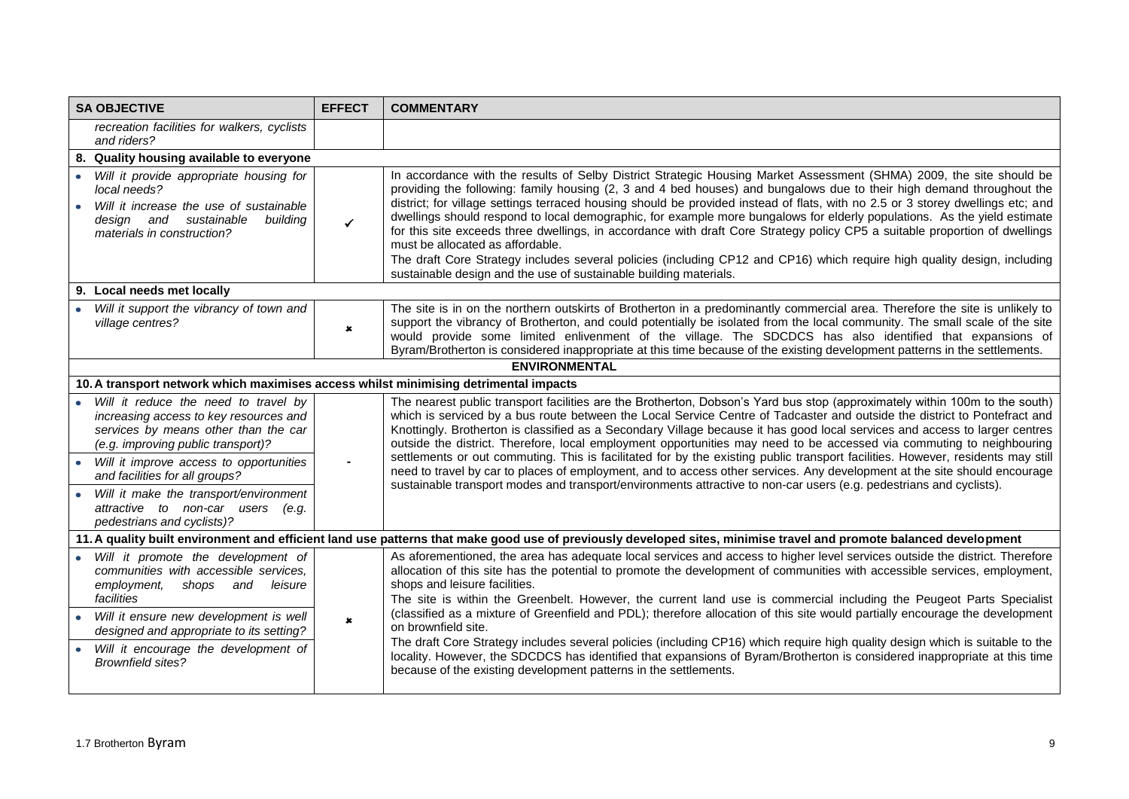| <b>SA OBJECTIVE</b>                                                                                                                                                                                                                                                                                          | <b>EFFECT</b>                                                                                                                                                      | <b>COMMENTARY</b>                                                                                                                                                                                                                                                                                                                                                                                                                                                                                                                                                                                                                                                                                                                                                                                                                                                                                          |  |  |
|--------------------------------------------------------------------------------------------------------------------------------------------------------------------------------------------------------------------------------------------------------------------------------------------------------------|--------------------------------------------------------------------------------------------------------------------------------------------------------------------|------------------------------------------------------------------------------------------------------------------------------------------------------------------------------------------------------------------------------------------------------------------------------------------------------------------------------------------------------------------------------------------------------------------------------------------------------------------------------------------------------------------------------------------------------------------------------------------------------------------------------------------------------------------------------------------------------------------------------------------------------------------------------------------------------------------------------------------------------------------------------------------------------------|--|--|
| recreation facilities for walkers, cyclists<br>and riders?                                                                                                                                                                                                                                                   |                                                                                                                                                                    |                                                                                                                                                                                                                                                                                                                                                                                                                                                                                                                                                                                                                                                                                                                                                                                                                                                                                                            |  |  |
| 8. Quality housing available to everyone                                                                                                                                                                                                                                                                     |                                                                                                                                                                    |                                                                                                                                                                                                                                                                                                                                                                                                                                                                                                                                                                                                                                                                                                                                                                                                                                                                                                            |  |  |
| • Will it provide appropriate housing for<br>local needs?<br>Will it increase the use of sustainable<br>design and sustainable<br>building<br>materials in construction?                                                                                                                                     | $\checkmark$                                                                                                                                                       | In accordance with the results of Selby District Strategic Housing Market Assessment (SHMA) 2009, the site should be<br>providing the following: family housing (2, 3 and 4 bed houses) and bungalows due to their high demand throughout the<br>district; for village settings terraced housing should be provided instead of flats, with no 2.5 or 3 storey dwellings etc; and<br>dwellings should respond to local demographic, for example more bungalows for elderly populations. As the yield estimate<br>for this site exceeds three dwellings, in accordance with draft Core Strategy policy CP5 a suitable proportion of dwellings<br>must be allocated as affordable.<br>The draft Core Strategy includes several policies (including CP12 and CP16) which require high quality design, including<br>sustainable design and the use of sustainable building materials.                           |  |  |
| 9. Local needs met locally                                                                                                                                                                                                                                                                                   |                                                                                                                                                                    |                                                                                                                                                                                                                                                                                                                                                                                                                                                                                                                                                                                                                                                                                                                                                                                                                                                                                                            |  |  |
| Will it support the vibrancy of town and<br>village centres?                                                                                                                                                                                                                                                 | $\pmb{\times}$                                                                                                                                                     | The site is in on the northern outskirts of Brotherton in a predominantly commercial area. Therefore the site is unlikely to<br>support the vibrancy of Brotherton, and could potentially be isolated from the local community. The small scale of the site<br>would provide some limited enlivenment of the village. The SDCDCS has also identified that expansions of<br>Byram/Brotherton is considered inappropriate at this time because of the existing development patterns in the settlements.                                                                                                                                                                                                                                                                                                                                                                                                      |  |  |
|                                                                                                                                                                                                                                                                                                              |                                                                                                                                                                    | <b>ENVIRONMENTAL</b>                                                                                                                                                                                                                                                                                                                                                                                                                                                                                                                                                                                                                                                                                                                                                                                                                                                                                       |  |  |
| 10. A transport network which maximises access whilst minimising detrimental impacts                                                                                                                                                                                                                         |                                                                                                                                                                    |                                                                                                                                                                                                                                                                                                                                                                                                                                                                                                                                                                                                                                                                                                                                                                                                                                                                                                            |  |  |
| • Will it reduce the need to travel by<br>increasing access to key resources and<br>services by means other than the car<br>(e.g. improving public transport)?<br>Will it improve access to opportunities                                                                                                    |                                                                                                                                                                    | The nearest public transport facilities are the Brotherton, Dobson's Yard bus stop (approximately within 100m to the south)<br>which is serviced by a bus route between the Local Service Centre of Tadcaster and outside the district to Pontefract and<br>Knottingly. Brotherton is classified as a Secondary Village because it has good local services and access to larger centres<br>outside the district. Therefore, local employment opportunities may need to be accessed via commuting to neighbouring<br>settlements or out commuting. This is facilitated for by the existing public transport facilities. However, residents may still<br>need to travel by car to places of employment, and to access other services. Any development at the site should encourage<br>sustainable transport modes and transport/environments attractive to non-car users (e.g. pedestrians and cyclists).    |  |  |
| and facilities for all groups?                                                                                                                                                                                                                                                                               |                                                                                                                                                                    |                                                                                                                                                                                                                                                                                                                                                                                                                                                                                                                                                                                                                                                                                                                                                                                                                                                                                                            |  |  |
| Will it make the transport/environment<br>attractive to non-car users (e.g.<br>pedestrians and cyclists)?                                                                                                                                                                                                    |                                                                                                                                                                    |                                                                                                                                                                                                                                                                                                                                                                                                                                                                                                                                                                                                                                                                                                                                                                                                                                                                                                            |  |  |
|                                                                                                                                                                                                                                                                                                              | 11. A quality built environment and efficient land use patterns that make good use of previously developed sites, minimise travel and promote balanced development |                                                                                                                                                                                                                                                                                                                                                                                                                                                                                                                                                                                                                                                                                                                                                                                                                                                                                                            |  |  |
| • Will it promote the development of<br>communities with accessible services.<br>employment,<br>shops<br>and<br>leisure<br>facilities<br>Will it ensure new development is well<br>designed and appropriate to its setting?<br>Will it encourage the development of<br>$\bullet$<br><b>Brownfield sites?</b> | $\pmb{\times}$                                                                                                                                                     | As aforementioned, the area has adequate local services and access to higher level services outside the district. Therefore<br>allocation of this site has the potential to promote the development of communities with accessible services, employment,<br>shops and leisure facilities.<br>The site is within the Greenbelt. However, the current land use is commercial including the Peugeot Parts Specialist<br>(classified as a mixture of Greenfield and PDL); therefore allocation of this site would partially encourage the development<br>on brownfield site.<br>The draft Core Strategy includes several policies (including CP16) which require high quality design which is suitable to the<br>locality. However, the SDCDCS has identified that expansions of Byram/Brotherton is considered inappropriate at this time<br>because of the existing development patterns in the settlements. |  |  |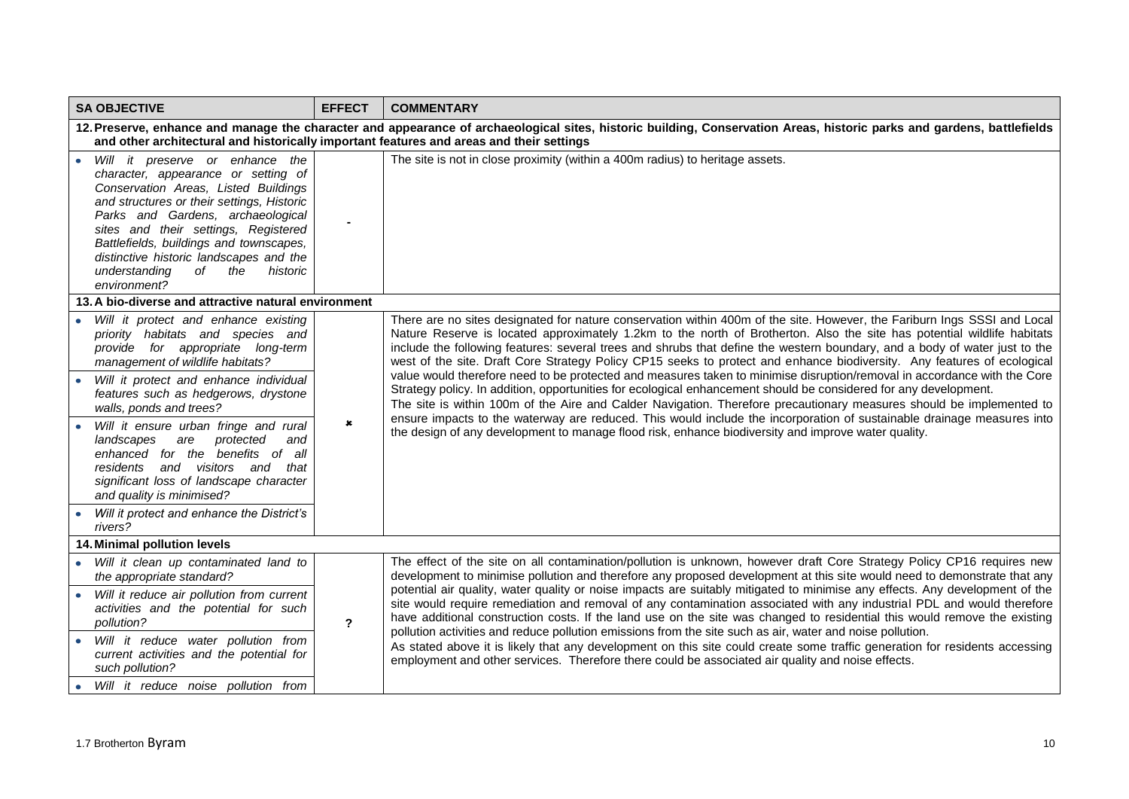| <b>SA OBJECTIVE</b>                                                                                                                                                                                                                                                                                                                                                                                                                                                                                                                                           | <b>EFFECT</b> | <b>COMMENTARY</b>                                                                                                                                                                                                                                                                                                                                                                                                                                                                                                                                                                                                                                                                                                                                                                                                                                                                                                                                                                                                                                                                                                     |  |  |
|---------------------------------------------------------------------------------------------------------------------------------------------------------------------------------------------------------------------------------------------------------------------------------------------------------------------------------------------------------------------------------------------------------------------------------------------------------------------------------------------------------------------------------------------------------------|---------------|-----------------------------------------------------------------------------------------------------------------------------------------------------------------------------------------------------------------------------------------------------------------------------------------------------------------------------------------------------------------------------------------------------------------------------------------------------------------------------------------------------------------------------------------------------------------------------------------------------------------------------------------------------------------------------------------------------------------------------------------------------------------------------------------------------------------------------------------------------------------------------------------------------------------------------------------------------------------------------------------------------------------------------------------------------------------------------------------------------------------------|--|--|
| 12. Preserve, enhance and manage the character and appearance of archaeological sites, historic building, Conservation Areas, historic parks and gardens, battlefields<br>and other architectural and historically important features and areas and their settings                                                                                                                                                                                                                                                                                            |               |                                                                                                                                                                                                                                                                                                                                                                                                                                                                                                                                                                                                                                                                                                                                                                                                                                                                                                                                                                                                                                                                                                                       |  |  |
| Will it preserve or enhance the<br>$\bullet$<br>character, appearance or setting of<br>Conservation Areas, Listed Buildings<br>and structures or their settings, Historic<br>Parks and Gardens, archaeological<br>sites and their settings, Registered<br>Battlefields, buildings and townscapes,<br>distinctive historic landscapes and the<br>understanding<br>of the<br>historic<br>environment?                                                                                                                                                           |               | The site is not in close proximity (within a 400m radius) to heritage assets.                                                                                                                                                                                                                                                                                                                                                                                                                                                                                                                                                                                                                                                                                                                                                                                                                                                                                                                                                                                                                                         |  |  |
| 13. A bio-diverse and attractive natural environment                                                                                                                                                                                                                                                                                                                                                                                                                                                                                                          |               |                                                                                                                                                                                                                                                                                                                                                                                                                                                                                                                                                                                                                                                                                                                                                                                                                                                                                                                                                                                                                                                                                                                       |  |  |
| • Will it protect and enhance existing<br>priority habitats and species and<br>provide for appropriate long-term<br>management of wildlife habitats?<br>Will it protect and enhance individual<br>features such as hedgerows, drystone<br>walls, ponds and trees?<br>Will it ensure urban fringe and rural<br>are protected<br>landscapes<br>and<br>enhanced for the benefits of all<br>residents and visitors and<br>that<br>significant loss of landscape character<br>and quality is minimised?<br>• Will it protect and enhance the District's<br>rivers? | $\mathbf{x}$  | There are no sites designated for nature conservation within 400m of the site. However, the Fariburn Ings SSSI and Local<br>Nature Reserve is located approximately 1.2km to the north of Brotherton. Also the site has potential wildlife habitats<br>include the following features: several trees and shrubs that define the western boundary, and a body of water just to the<br>west of the site. Draft Core Strategy Policy CP15 seeks to protect and enhance biodiversity. Any features of ecological<br>value would therefore need to be protected and measures taken to minimise disruption/removal in accordance with the Core<br>Strategy policy. In addition, opportunities for ecological enhancement should be considered for any development.<br>The site is within 100m of the Aire and Calder Navigation. Therefore precautionary measures should be implemented to<br>ensure impacts to the waterway are reduced. This would include the incorporation of sustainable drainage measures into<br>the design of any development to manage flood risk, enhance biodiversity and improve water quality. |  |  |
| 14. Minimal pollution levels                                                                                                                                                                                                                                                                                                                                                                                                                                                                                                                                  |               |                                                                                                                                                                                                                                                                                                                                                                                                                                                                                                                                                                                                                                                                                                                                                                                                                                                                                                                                                                                                                                                                                                                       |  |  |
| • Will it clean up contaminated land to<br>the appropriate standard?                                                                                                                                                                                                                                                                                                                                                                                                                                                                                          | $\mathbf{r}$  | The effect of the site on all contamination/pollution is unknown, however draft Core Strategy Policy CP16 requires new<br>development to minimise pollution and therefore any proposed development at this site would need to demonstrate that any<br>potential air quality, water quality or noise impacts are suitably mitigated to minimise any effects. Any development of the<br>site would require remediation and removal of any contamination associated with any industrial PDL and would therefore<br>have additional construction costs. If the land use on the site was changed to residential this would remove the existing<br>pollution activities and reduce pollution emissions from the site such as air, water and noise pollution.                                                                                                                                                                                                                                                                                                                                                                |  |  |
| • Will it reduce air pollution from current<br>activities and the potential for such<br>pollution?                                                                                                                                                                                                                                                                                                                                                                                                                                                            |               |                                                                                                                                                                                                                                                                                                                                                                                                                                                                                                                                                                                                                                                                                                                                                                                                                                                                                                                                                                                                                                                                                                                       |  |  |
| Will it reduce water pollution from<br>current activities and the potential for<br>such pollution?                                                                                                                                                                                                                                                                                                                                                                                                                                                            |               | As stated above it is likely that any development on this site could create some traffic generation for residents accessing<br>employment and other services. Therefore there could be associated air quality and noise effects.                                                                                                                                                                                                                                                                                                                                                                                                                                                                                                                                                                                                                                                                                                                                                                                                                                                                                      |  |  |
| Will it reduce noise pollution from                                                                                                                                                                                                                                                                                                                                                                                                                                                                                                                           |               |                                                                                                                                                                                                                                                                                                                                                                                                                                                                                                                                                                                                                                                                                                                                                                                                                                                                                                                                                                                                                                                                                                                       |  |  |